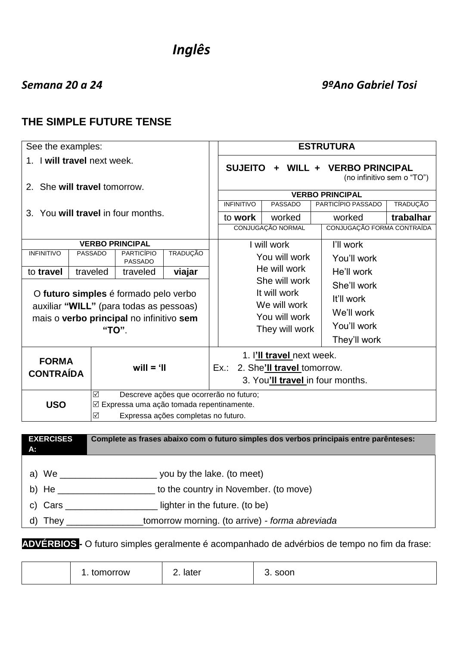# *Inglês*

## *Semana 20 a 24 9ºAno Gabriel Tosi*

## **THE SIMPLE FUTURE TENSE**

| See the examples:                                                                                                                                              |                |                                     |                                                                                  | <b>ESTRUTURA</b>                                                                 |                                                                        |                                  |                 |  |
|----------------------------------------------------------------------------------------------------------------------------------------------------------------|----------------|-------------------------------------|----------------------------------------------------------------------------------|----------------------------------------------------------------------------------|------------------------------------------------------------------------|----------------------------------|-----------------|--|
| 1. I will travel next week.                                                                                                                                    |                |                                     | <b>VERBO PRINCIPAL</b><br><b>SUJEITO</b><br>WILL +<br>(no infinitivo sem o "TO") |                                                                                  |                                                                        |                                  |                 |  |
| 2. She will travel tomorrow.                                                                                                                                   |                |                                     |                                                                                  |                                                                                  |                                                                        | <b>VERBO PRINCIPAL</b>           |                 |  |
|                                                                                                                                                                |                |                                     |                                                                                  | <b>INFINITIVO</b>                                                                | <b>PASSADO</b>                                                         | PARTICÍPIO PASSADO               | <b>TRADUÇÃO</b> |  |
| $3_{-}$                                                                                                                                                        |                | You will travel in four months.     |                                                                                  | to work                                                                          | worked                                                                 | worked                           | trabalhar       |  |
|                                                                                                                                                                |                |                                     |                                                                                  |                                                                                  | CONJUGAÇÃO NORMAL                                                      | CONJUGAÇÃO FORMA CONTRAÍDA       |                 |  |
|                                                                                                                                                                |                | <b>VERBO PRINCIPAL</b>              |                                                                                  |                                                                                  | I will work                                                            | I'll work                        |                 |  |
| <b>INFINITIVO</b>                                                                                                                                              | <b>PASSADO</b> | <b>PARTICÍPIO</b><br><b>PASSADO</b> | <b>TRADUÇÃO</b>                                                                  |                                                                                  | You will work                                                          | You'll work                      |                 |  |
| to travel                                                                                                                                                      | traveled       | traveled                            | viajar                                                                           |                                                                                  | He will work                                                           | He'll work                       |                 |  |
| O futuro simples é formado pelo verbo<br>auxiliar "WILL" (para todas as pessoas)<br>mais o verbo principal no infinitivo sem<br>"TO".                          |                |                                     |                                                                                  | She will work<br>It will work<br>We will work<br>You will work<br>They will work | She'll work<br>It'll work<br>We'll work<br>You'll work<br>They'll work |                                  |                 |  |
| <b>FORMA</b><br>$will = 'II$<br><b>CONTRAÍDA</b>                                                                                                               |                |                                     |                                                                                  | Ex.:                                                                             | 1. I'll travel next week.<br>2. She'll travel tomorrow.                | 3. You'll travel in four months. |                 |  |
| Descreve ações que ocorrerão no futuro;<br>☑<br><b>USO</b><br>$\boxtimes$ Expressa uma ação tomada repentinamente.<br>☑<br>Expressa ações completas no futuro. |                |                                     |                                                                                  |                                                                                  |                                                                        |                                  |                 |  |

| <b>EXERCISES</b><br>А: | Complete as frases abaixo com o futuro simples dos verbos principais entre parênteses: |
|------------------------|----------------------------------------------------------------------------------------|
|                        |                                                                                        |
|                        | you by the lake. (to meet)                                                             |
| b) He $-$              | to the country in November. (to move)                                                  |
| c) Cars                | lighter in the future. (to be)                                                         |
| d) They                | tomorrow morning. (to arrive) - forma abreviada                                        |

**ADVÉRBIOS -** O futuro simples geralmente é acompanhado de advérbios de tempo no fim da frase:

|  | tomorrow | later<br><u>. . </u> | soon |
|--|----------|----------------------|------|
|--|----------|----------------------|------|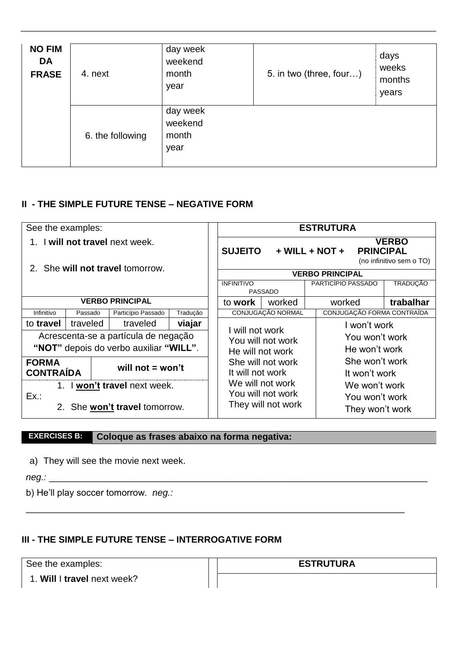| <b>NO FIM</b><br><b>DA</b><br><b>FRASE</b> | 4. next          | day week<br>weekend<br>month<br>year | 5. in two (three, four) | days<br>weeks<br>months<br>years |
|--------------------------------------------|------------------|--------------------------------------|-------------------------|----------------------------------|
|                                            | 6. the following | day week<br>weekend<br>month<br>year |                         |                                  |

## **II - THE SIMPLE FUTURE TENSE – NEGATIVE FORM**

| See the examples:                                                |          |                                        |          |                                       |                                      |                      |                            | <b>ESTRUTURA</b>       |                                          |
|------------------------------------------------------------------|----------|----------------------------------------|----------|---------------------------------------|--------------------------------------|----------------------|----------------------------|------------------------|------------------------------------------|
| I will not travel next week.<br>2. She will not travel tomorrow. |          |                                        |          |                                       | <b>SUJEITO</b>                       | $+$ WILL $+$ NOT $+$ |                            | <b>PRINCIPAL</b>       | <b>VERBO</b><br>(no infinitivo sem o TO) |
|                                                                  |          |                                        |          |                                       |                                      |                      |                            | <b>VERBO PRINCIPAL</b> |                                          |
|                                                                  |          |                                        |          |                                       | <b>INFINITIVO</b>                    | <b>PASSADO</b>       |                            | PARTICÍPIO PASSADO     | <b>TRADUÇÃO</b>                          |
| <b>VERBO PRINCIPAL</b>                                           |          |                                        |          | to work                               | worked                               |                      | worked                     | trabalhar              |                                          |
| Infinitivo                                                       | Passado  | Particípio Passado                     | Tradução |                                       |                                      | CONJUGAÇÃO NORMAL    | CONJUGAÇÃO FORMA CONTRAÍDA |                        |                                          |
| to travel                                                        | traveled | traveled                               | viajar   |                                       | I will not work<br>You will not work |                      |                            | I won't work           |                                          |
|                                                                  |          | Acrescenta-se a partícula de negação   |          |                                       |                                      |                      |                            | You won't work         |                                          |
|                                                                  |          | "NOT" depois do verbo auxiliar "WILL". |          |                                       | He won't work<br>He will not work    |                      |                            |                        |                                          |
| <b>FORMA</b>                                                     |          |                                        |          |                                       | She won't work<br>She will not work  |                      |                            |                        |                                          |
| will not $=$ won't<br><b>CONTRAÍDA</b>                           |          |                                        |          |                                       | It will not work<br>It won't work    |                      |                            |                        |                                          |
| 1. I won't travel next week.                                     |          |                                        |          |                                       | We will not work                     |                      | We won't work              |                        |                                          |
| Ex.:                                                             |          |                                        |          |                                       | You will not work                    |                      |                            | You won't work         |                                          |
| 2. She won't travel tomorrow.                                    |          |                                        |          | They will not work<br>They won't work |                                      |                      |                            |                        |                                          |

\_\_\_\_\_\_\_\_\_\_\_\_\_\_\_\_\_\_\_\_\_\_\_\_\_\_\_\_\_\_\_\_\_\_\_\_\_\_\_\_\_\_\_\_\_\_\_\_\_\_\_\_\_\_\_\_\_\_\_\_\_\_\_\_\_\_\_\_\_\_\_\_\_\_

## **EXERCISES B: Coloque as frases abaixo na forma negativa:**

a) They will see the movie next week.

*neg.:* \_\_\_\_\_\_\_\_\_\_\_\_\_\_\_\_\_\_\_\_\_\_\_\_\_\_\_\_\_\_\_\_\_\_\_\_\_\_\_\_\_\_\_\_\_\_\_\_\_\_\_\_\_\_\_\_\_\_\_\_\_\_\_\_\_\_\_\_\_\_\_\_\_\_

b) He'll play soccer tomorrow. *neg.:*

## **III - THE SIMPLE FUTURE TENSE – INTERROGATIVE FORM**

See the examples:

1. **Will** I **travel** next week?

#### **ESTRUTURA**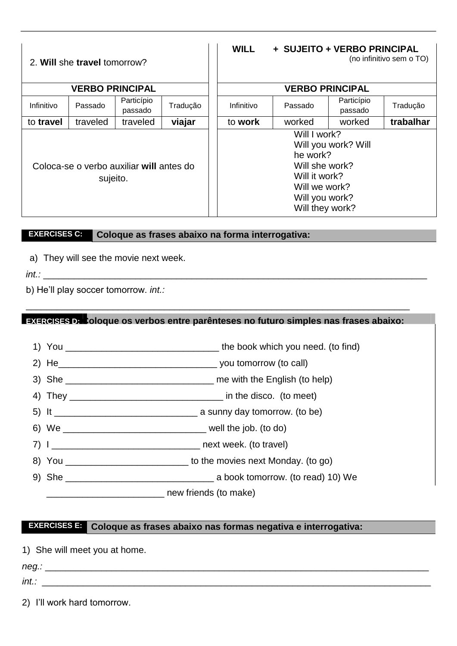| 2. Will she travel tomorrow?                         |                        |                       |          | <b>WILL</b> |                                                                                                                   | + SUJEITO + VERBO PRINCIPAL | (no infinitivo sem o TO) |
|------------------------------------------------------|------------------------|-----------------------|----------|-------------|-------------------------------------------------------------------------------------------------------------------|-----------------------------|--------------------------|
|                                                      | <b>VERBO PRINCIPAL</b> |                       |          |             |                                                                                                                   | <b>VERBO PRINCIPAL</b>      |                          |
| Infinitivo                                           | Passado                | Particípio<br>passado | Tradução | Infinitivo  | Passado                                                                                                           | Particípio<br>passado       | Tradução                 |
| to travel                                            | traveled               | traveled              | viajar   | to work     | worked                                                                                                            | worked                      | trabalhar                |
| Coloca-se o verbo auxiliar will antes do<br>sujeito. |                        |                       |          |             | Will I work?<br>he work?<br>Will she work?<br>Will it work?<br>Will we work?<br>Will you work?<br>Will they work? | Will you work? Will         |                          |

## **EXERCISES C: Coloque as frases abaixo na forma interrogativa:**

a) They will see the movie next week.

*int.:* \_\_\_\_\_\_\_\_\_\_\_\_\_\_\_\_\_\_\_\_\_\_\_\_\_\_\_\_\_\_\_\_\_\_\_\_\_\_\_\_\_\_\_\_\_\_\_\_\_\_\_\_\_\_\_\_\_\_\_\_\_\_\_\_\_\_\_\_\_\_\_\_\_\_\_

b) He'll play soccer tomorrow. *int.:*

#### **EXERCISES D: Coloque os verbos entre parênteses no futuro simples nas frases abaixo:**

\_\_\_\_\_\_\_\_\_\_\_\_\_\_\_\_\_\_\_\_\_\_\_\_\_\_\_\_\_\_\_\_\_\_\_\_\_\_\_\_\_\_\_\_\_\_\_\_\_\_\_\_\_\_\_\_\_\_\_\_\_\_\_\_\_\_\_\_\_\_\_\_\_\_\_

- 1) You \_\_\_\_\_\_\_\_\_\_\_\_\_\_\_\_\_\_\_\_\_\_\_\_\_\_\_\_\_\_ the book which you need. (to find)
- 2) He\_\_\_\_\_\_\_\_\_\_\_\_\_\_\_\_\_\_\_\_\_\_\_\_\_\_\_\_\_\_\_ you tomorrow (to call)
- 3) She \_\_\_\_\_\_\_\_\_\_\_\_\_\_\_\_\_\_\_\_\_\_\_\_\_\_\_\_\_ me with the English (to help)
- 4) They in the disco. (to meet)
- 5) It \_\_\_\_\_\_\_\_\_\_\_\_\_\_\_\_\_\_\_\_\_\_\_\_\_\_\_\_ a sunny day tomorrow. (to be)
- 6) We \_\_\_\_\_\_\_\_\_\_\_\_\_\_\_\_\_\_\_\_\_\_\_\_\_\_\_\_ well the job. (to do)
- 7) I \_\_\_\_\_\_\_\_\_\_\_\_\_\_\_\_\_\_\_\_\_\_\_\_\_\_\_\_\_ next week. (to travel)
- 8) You \_\_\_\_\_\_\_\_\_\_\_\_\_\_\_\_\_\_\_\_\_\_\_\_ to the movies next Monday. (to go)
- 9) She \_\_\_\_\_\_\_\_\_\_\_\_\_\_\_\_\_\_\_\_\_\_\_\_\_\_\_\_\_ a book tomorrow. (to read) 10) We
	- \_\_\_\_\_\_\_\_\_\_\_\_\_\_\_\_\_\_\_\_\_\_\_ new friends (to make)

## **EXERCISES E: Coloque as frases abaixo nas formas negativa e interrogativa:**

1) She will meet you at home.

*neg.:* \_\_\_\_\_\_\_\_\_\_\_\_\_\_\_\_\_\_\_\_\_\_\_\_\_\_\_\_\_\_\_\_\_\_\_\_\_\_\_\_\_\_\_\_\_\_\_\_\_\_\_\_\_\_\_\_\_\_\_\_\_\_\_\_\_\_\_\_\_\_\_\_\_\_\_

*int.:* \_\_\_\_\_\_\_\_\_\_\_\_\_\_\_\_\_\_\_\_\_\_\_\_\_\_\_\_\_\_\_\_\_\_\_\_\_\_\_\_\_\_\_\_\_\_\_\_\_\_\_\_\_\_\_\_\_\_\_\_\_\_\_\_\_\_\_\_\_\_\_\_\_\_\_\_

2) I'll work hard tomorrow.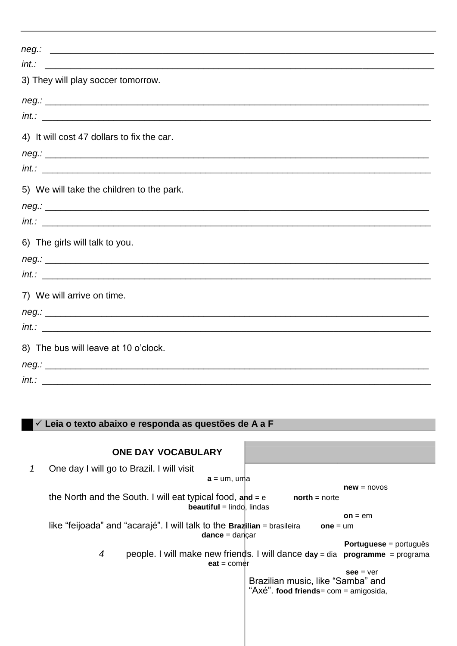| int.<br><u> Alexandro de la contrada de la contrada de la contrada de la contrada de la contrada de la contrada de la co</u> |  |
|------------------------------------------------------------------------------------------------------------------------------|--|
| 3) They will play soccer tomorrow.                                                                                           |  |
|                                                                                                                              |  |
|                                                                                                                              |  |
| 4) It will cost 47 dollars to fix the car.                                                                                   |  |
| $neg.:$ $\Box$                                                                                                               |  |
|                                                                                                                              |  |
| 5) We will take the children to the park.                                                                                    |  |
|                                                                                                                              |  |
|                                                                                                                              |  |
| 6) The girls will talk to you.                                                                                               |  |
|                                                                                                                              |  |
|                                                                                                                              |  |
| 7) We will arrive on time.                                                                                                   |  |
| neg.                                                                                                                         |  |
|                                                                                                                              |  |
| 8) The bus will leave at 10 o'clock.                                                                                         |  |
|                                                                                                                              |  |
| int.                                                                                                                         |  |

## ✓ **Leia o texto abaixo e responda as questões de A a F**

|              | <b>ONE DAY VOCABULARY</b>                                                                                            |
|--------------|----------------------------------------------------------------------------------------------------------------------|
| $\mathcal I$ | One day I will go to Brazil. I will visit                                                                            |
|              | $a = um, uma$                                                                                                        |
|              | $new = novos$                                                                                                        |
|              | the North and the South. I will eat typical food, and $= e$<br>$north = n$<br><b>beautiful</b> = $lindol$ , $lindas$ |
|              | $on = em$                                                                                                            |
|              | like "feijoada" and "acarajé". I will talk to the Brazilian = brasileira<br>$one = um$                               |
|              | $dance = dancar$                                                                                                     |
|              | <b>Portuguese</b> = português                                                                                        |
|              | 4<br>people. I will make new friends. I will dance $day = dia$ programme = programa                                  |
|              | $eat = corner$                                                                                                       |
|              | $see = ver$<br>Brazilian music, like "Samba" and<br>"Axé". food friends= com = amigosida,                            |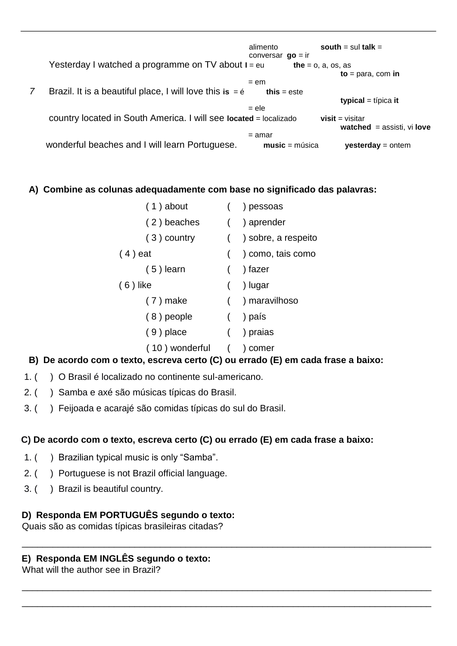alimento **south** = sul **talk** = conversar **go** *=* ir Yesterday I watched a programme on TV about **I** = eu the = o, a, os, as **to** = para, com **in**  $=$  em *7* Brazil. It is a beautiful place, I will love this  $i$ s =  $\acute{e}$  this = este **typical** = típica **it**  = ele country located in South America. I will see **located** = localizado **visit** = visitar **watched** = assisti, vi **love**  $=$  amar wonderful beaches and I will learn Portuguese. **music** = música **yesterday** = ontem

#### **A) Combine as colunas adequadamente com base no significado das palavras:**

| $(1)$ about    |   | ) pessoas           |
|----------------|---|---------------------|
| (2) beaches    |   | ) aprender          |
| $(3)$ country  | ( | ) sobre, a respeito |
| $(4)$ eat      |   | ) como, tais como   |
| $(5)$ learn    |   | ) fazer             |
| $(6)$ like     |   | ) lugar             |
| $(7)$ make     |   | ) maravilhoso       |
| $(8)$ people   |   | ) país              |
| $(9)$ place    |   | ) praias            |
| (10) wonderful |   | comer               |

## **B) De acordo com o texto, escreva certo (C) ou errado (E) em cada frase a baixo:**

- 1. ( ) O Brasil é localizado no continente sul-americano.
- 2. ( ) Samba e axé são músicas típicas do Brasil.
- 3. ( ) Feijoada e acarajé são comidas típicas do sul do Brasil.

## **C) De acordo com o texto, escreva certo (C) ou errado (E) em cada frase a baixo:**

\_\_\_\_\_\_\_\_\_\_\_\_\_\_\_\_\_\_\_\_\_\_\_\_\_\_\_\_\_\_\_\_\_\_\_\_\_\_\_\_\_\_\_\_\_\_\_\_\_\_\_\_\_\_\_\_\_\_\_\_\_\_\_\_\_\_\_\_\_\_\_\_\_\_\_\_\_\_\_\_

\_\_\_\_\_\_\_\_\_\_\_\_\_\_\_\_\_\_\_\_\_\_\_\_\_\_\_\_\_\_\_\_\_\_\_\_\_\_\_\_\_\_\_\_\_\_\_\_\_\_\_\_\_\_\_\_\_\_\_\_\_\_\_\_\_\_\_\_\_\_\_\_\_\_\_\_\_\_\_\_

\_\_\_\_\_\_\_\_\_\_\_\_\_\_\_\_\_\_\_\_\_\_\_\_\_\_\_\_\_\_\_\_\_\_\_\_\_\_\_\_\_\_\_\_\_\_\_\_\_\_\_\_\_\_\_\_\_\_\_\_\_\_\_\_\_\_\_\_\_\_\_\_\_\_\_\_\_\_\_\_

- 1. ( ) Brazilian typical music is only "Samba".
- 2. ( ) Portuguese is not Brazil official language.
- 3. ( ) Brazil is beautiful country.

## **D) Responda EM PORTUGUÊS segundo o texto:**

Quais são as comidas típicas brasileiras citadas?

## **E) Responda EM INGLÊS segundo o texto:**

What will the author see in Brazil?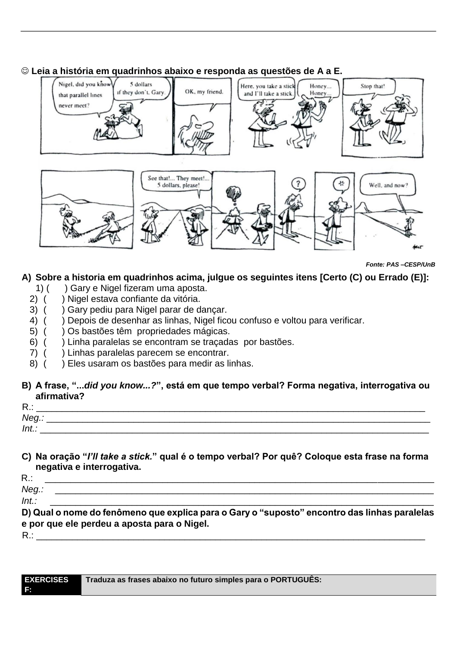## ☺ **Leia a história em quadrinhos abaixo e responda as questões de A a E.**



*Fonte: PAS –CESP/UnB*

## **A) Sobre a historia em quadrinhos acima, julgue os seguintes itens [Certo (C) ou Errado (E)]:**

- 1) ( ) Gary e Nigel fizeram uma aposta.
- 2) ( ) Nigel estava confiante da vitória.
- 3) ( ) Gary pediu para Nigel parar de dançar.
- 4) ( ) Depois de desenhar as linhas, Nigel ficou confuso e voltou para verificar.
- 5) ( ) Os bastões têm propriedades mágicas.
- 6) ( ) Linha paralelas se encontram se traçadas por bastões.
- 7) ( ) Linhas paralelas parecem se encontrar.
- 8) ( ) Eles usaram os bastões para medir as linhas.

#### **B) A frase, "...***did you know...?***", está em que tempo verbal? Forma negativa, interrogativa ou afirmativa?**

| $R$ .: |  |
|--------|--|
| Neg.:  |  |
| Int.   |  |

#### **C) Na oração "***I'll take a stick.***" qual é o tempo verbal? Por quê? Coloque esta frase na forma negativa e interrogativa.**

R.: \_\_\_\_\_\_\_\_\_\_\_\_\_\_\_\_\_\_\_\_\_\_\_\_\_\_\_\_\_\_\_\_\_\_\_\_\_\_\_\_\_\_\_\_\_\_\_\_\_\_\_\_\_\_\_\_\_\_\_\_\_\_\_\_\_\_\_\_\_\_\_\_\_\_\_\_

*Neg.:* \_\_\_\_\_\_\_\_\_\_\_\_\_\_\_\_\_\_\_\_\_\_\_\_\_\_\_\_\_\_\_\_\_\_\_\_\_\_\_\_\_\_\_\_\_\_\_\_\_\_\_\_\_\_\_\_\_\_\_\_\_\_\_\_\_\_\_\_\_\_\_\_\_\_

*Int.:* \_\_\_\_\_\_\_\_\_\_\_\_\_\_\_\_\_\_\_\_\_\_\_\_\_\_\_\_\_\_\_\_\_\_\_\_\_\_\_\_\_\_\_\_\_\_\_\_\_\_\_\_\_\_\_\_\_\_\_\_\_\_\_\_\_\_\_\_\_\_\_\_\_\_\_

**D) Qual o nome do fenômeno que explica para o Gary o "suposto" encontro das linhas paralelas e por que ele perdeu a aposta para o Nigel.** 

R.: \_\_\_\_\_\_\_\_\_\_\_\_\_\_\_\_\_\_\_\_\_\_\_\_\_\_\_\_\_\_\_\_\_\_\_\_\_\_\_\_\_\_\_\_\_\_\_\_\_\_\_\_\_\_\_\_\_\_\_\_\_\_\_\_\_\_\_\_\_\_\_\_\_\_\_\_

| <b>EXERCISES</b> | Traduza as frases abaixo no futuro simples para o PORTUGUÊS: |
|------------------|--------------------------------------------------------------|
|                  |                                                              |